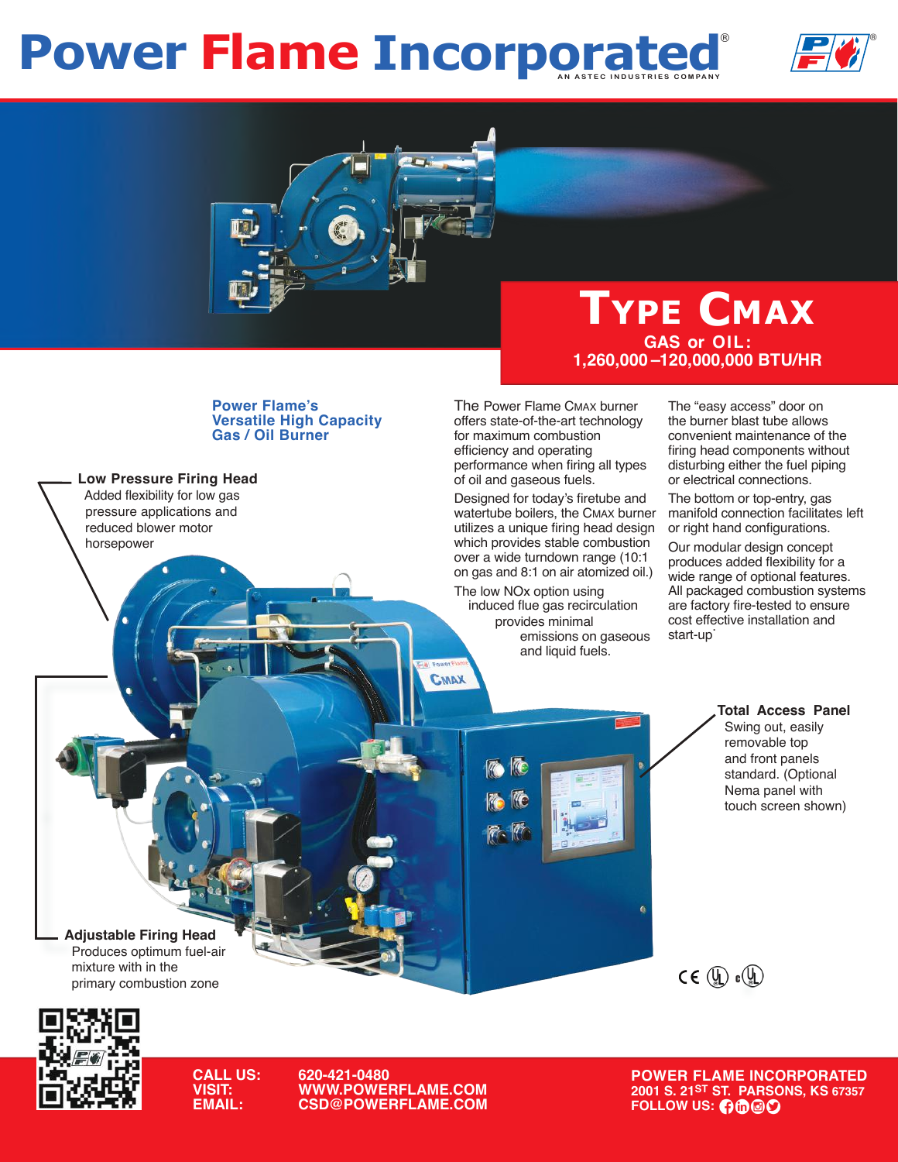## **Power Flame Incorporated**





## **Type Cmax GAS or OIL: 1,260,000 –120,000,000 BTU/HR**

**Power Flame's Versatile High Capacity Gas / Oil Burner**

**Low Pressure Firing Head**

 Added flexibility for low gas pressure applications and reduced blower motor horsepower

١

The Power Flame CMAX burner offers state-of-the-art technology for maximum combustion efficiency and operating performance when firing all types of oil and gaseous fuels.

Designed for today's firetube and watertube boilers, the CMAX burner utilizes a unique firing head design which provides stable combustion over a wide turndown range (10:1 on gas and 8:1 on air atomized oil.)

The low NOx option using induced flue gas recirculation provides minimal emissions on gaseous and liquid fuels.

CMAX

The "easy access" door on the burner blast tube allows convenient maintenance of the firing head components without disturbing either the fuel piping or electrical connections.

The bottom or top-entry, gas manifold connection facilitates left or right hand configurations.

Our modular design concept produces added flexibility for a wide range of optional features. All packaged combustion systems are factory fire-tested to ensure cost effective installation and start-up.

#### **Total Access Panel** Swing out, easily removable top and front panels standard. (Optional Nema panel with touch screen shown)



**Adjustable Firing Head** Produces optimum fuel-air mixture with in the primary combustion zone



**CALL US: 620-421-0480 VISIT: WWW.POWERFLAME.COM EXPAIL: COMAIL: COMAIL: COMAIL: COMAIL: COMAIL: COMAIL: COMAIL: COMAIL: COMAIL: COMAIL: COMAIL: COMAIL: COMAIL: COMAI** 

**POWER FLAME INCORPORATED 2001 S. 21ST ST. PARSONS, KS 67357**